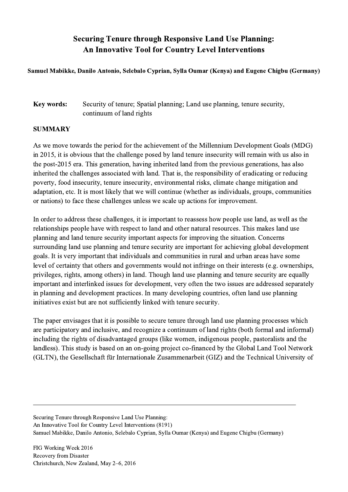## Securing Tenure through Responsive Land Use Planning: An Innovative Tool for Country Level Interventions

## Samuel Mabikke, Danilo Antonio, Selebalo Cyprian, Sylla Oumar (Kenya) and Eugene Chigbu (Germany)

## Key words: Security of tenure; Spatial planning; Land use planning, tenure security, continuum of land rights

## SUMMARY

As we move towards the period for the achievement of the Millennium Development Goals (MDG) in 2015, it is obvious that the challenge posed by land tenure insecurity will remain with us also in the post-2015 era. This generation, having inherited land from the previous generations, has also inherited the challenges associated with land. That is, the responsibility of eradicating or reducing poverty, food insecurity, tenure insecurity, environmental risks, climate change mitigation and adaptation, etc. It is most likely that we will continue (whether as individuals, groups, communities or nations) to face these challenges unless we scale up actions for improvement.

In order to address these challenges, it is important to reassess how people use land, as well as the relationships people have with respect to land and other natural resources. This makes land use planning and land tenure security important aspects for improving the situation. Concerns surrounding land use planning and tenure security are important for achieving global development goals. It is very important that individuals and communities in rural and urban areas have some level of certainty that others and governments would not infringe on their interests (e.g. ownerships, privileges, rights, among others) in land. Though land use planning and tenure security are equally important and interlinked issues for development, very often the two issues are addressed separately in planning and development practices. In many developing countries, often land use planning initiatives exist but are not sufficiently linked with tenure security.

The paper envisages that it is possible to secure tenure through land use planning processes which are participatory and inclusive, and recognize a continuum of land rights (both formal and informal) including the rights of disadvantaged groups (like women, indigenous people, pastoralists and the landless). This study is based on an on-going project co-financed by the Global Land Tool Network (GLTN), the Gesellschaft für Internationale Zusammenarbeit (GIZ) and the Technical University of

 $\mathcal{L}_\mathcal{L} = \{ \mathcal{L}_\mathcal{L} = \{ \mathcal{L}_\mathcal{L} = \{ \mathcal{L}_\mathcal{L} = \{ \mathcal{L}_\mathcal{L} = \{ \mathcal{L}_\mathcal{L} = \{ \mathcal{L}_\mathcal{L} = \{ \mathcal{L}_\mathcal{L} = \{ \mathcal{L}_\mathcal{L} = \{ \mathcal{L}_\mathcal{L} = \{ \mathcal{L}_\mathcal{L} = \{ \mathcal{L}_\mathcal{L} = \{ \mathcal{L}_\mathcal{L} = \{ \mathcal{L}_\mathcal{L} = \{ \mathcal{L}_\mathcal{$ 

Securing Tenure through Responsive Land Use Planning: An Innovative Tool for Country Level Interventions (8191) Samuel Mabikke, Danilo Antonio, Selebalo Cyprian, Sylla Oumar (Kenya) and Eugene Chigbu (Germany)